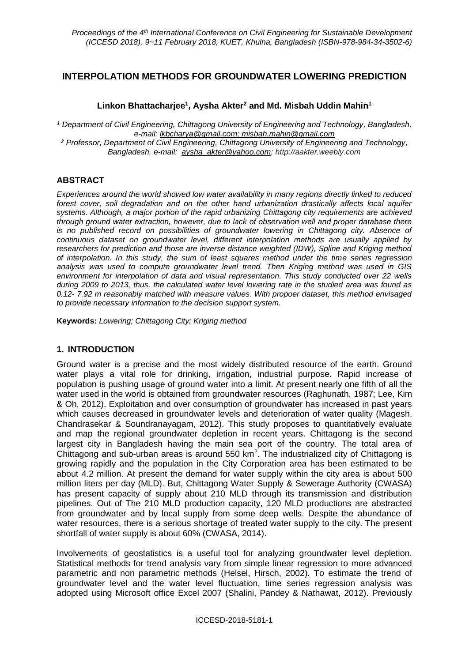## **INTERPOLATION METHODS FOR GROUNDWATER LOWERING PREDICTION**

### **Linkon Bhattacharjee<sup>1</sup> , Aysha Akter<sup>2</sup> and Md. Misbah Uddin Mahin<sup>1</sup>**

*<sup>1</sup> Department of Civil Engineering, Chittagong University of Engineering and Technology, Bangladesh, e-mail: lkbcharya@gmail.com; misbah.mahin@gmail.com <sup>2</sup> Professor, Department of Civil Engineering, Chittagong University of Engineering and Technology, Bangladesh, e-mail: [aysha\\_akter@yahoo.com;](mailto:aysha_akter@yahoo.com) http://aakter.weebly.com*

### **ABSTRACT**

*Experiences around the world showed low water availability in many regions directly linked to reduced forest cover, soil degradation and on the other hand urbanization drastically affects local aquifer systems. Although, a major portion of the rapid urbanizing Chittagong city requirements are achieved through ground water extraction, however, due to lack of observation well and proper database there is no published record on possibilities of groundwater lowering in Chittagong city. Absence of continuous dataset on groundwater level, different interpolation methods are usually applied by researchers for prediction and those are inverse distance weighted (IDW), Spline and Kriging method of interpolation. In this study, the sum of least squares method under the time series regression analysis was used to compute groundwater level trend. Then Kriging method was used in GIS environment for interpolation of data and visual representation. This study conducted over 22 wells during 2009 to 2013, thus, the calculated water level lowering rate in the studied area was found as 0.12- 7.92 m reasonably matched with measure values. With propoer dataset, this method envisaged to provide necessary information to the decision support system.*

**Keywords:** *Lowering; Chittagong City; Kriging method*

### **1. INTRODUCTION**

Ground water is a precise and the most widely distributed resource of the earth. Ground water plays a vital role for drinking, irrigation, industrial purpose. Rapid increase of population is pushing usage of ground water into a limit. At present nearly one fifth of all the water used in the world is obtained from groundwater resources (Raghunath, 1987; Lee, Kim & Oh, 2012). Exploitation and over consumption of groundwater has increased in past years which causes decreased in groundwater levels and deterioration of water quality (Magesh, Chandrasekar & Soundranayagam, 2012). This study proposes to quantitatively evaluate and map the regional groundwater depletion in recent years. Chittagong is the second largest city in Bangladesh having the main sea port of the country. The total area of Chittagong and sub-urban areas is around 550 km<sup>2</sup>. The industrialized city of Chittagong is growing rapidly and the population in the City Corporation area has been estimated to be about 4.2 million. At present the demand for water supply within the city area is about 500 million liters per day (MLD). But, Chittagong Water Supply & Sewerage Authority (CWASA) has present capacity of supply about 210 MLD through its transmission and distribution pipelines. Out of The 210 MLD production capacity, 120 MLD productions are abstracted from groundwater and by local supply from some deep wells. Despite the abundance of water resources, there is a serious shortage of treated water supply to the city. The present shortfall of water supply is about 60% (CWASA, 2014).

Involvements of geostatistics is a useful tool for analyzing groundwater level depletion. Statistical methods for trend analysis vary from simple linear regression to more advanced parametric and non parametric methods (Helsel, Hirsch, 2002). To estimate the trend of groundwater level and the water level fluctuation, time series regression analysis was adopted using Microsoft office Excel 2007 (Shalini, Pandey & Nathawat, 2012). Previously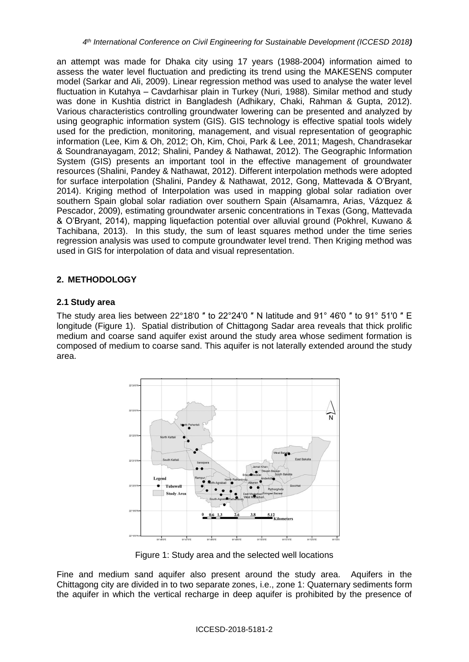an attempt was made for Dhaka city using 17 years (1988-2004) information aimed to assess the water level fluctuation and predicting its trend using the MAKESENS computer model (Sarkar and Ali, 2009). Linear regression method was used to analyse the water level fluctuation in Kutahya – Cavdarhisar plain in Turkey (Nuri, 1988). Similar method and study was done in Kushtia district in Bangladesh (Adhikary, Chaki, Rahman & Gupta, 2012). Various characteristics controlling groundwater lowering can be presented and analyzed by using geographic information system (GIS). GIS technology is effective spatial tools widely used for the prediction, monitoring, management, and visual representation of geographic information (Lee, Kim & Oh, 2012; Oh, Kim, Choi, Park & Lee, 2011; Magesh, Chandrasekar & Soundranayagam, 2012; Shalini, Pandey & Nathawat, 2012). The Geographic Information System (GIS) presents an important tool in the effective management of groundwater resources (Shalini, Pandey & Nathawat, 2012). Different interpolation methods were adopted for surface interpolation (Shalini, Pandey & Nathawat, 2012, Gong, Mattevada & O'Bryant, 2014). Kriging method of Interpolation was used in mapping global solar radiation over southern Spain global solar radiation over southern Spain (Alsamamra, Arias, Vázquez & Pescador, 2009), estimating groundwater arsenic concentrations in Texas (Gong, Mattevada & O'Bryant, 2014), mapping liquefaction potential over alluvial ground (Pokhrel, Kuwano & Tachibana, 2013). In this study, the sum of least squares method under the time series regression analysis was used to compute groundwater level trend. Then Kriging method was used in GIS for interpolation of data and visual representation.

# **2. METHODOLOGY**

## **2.1 Study area**

The study area lies between 22°18'0 " to 22°24'0 " N latitude and 91° 46'0 " to 91° 51'0 " E longitude (Figure 1). Spatial distribution of Chittagong Sadar area reveals that thick prolific medium and coarse sand aquifer exist around the study area whose sediment formation is composed of medium to coarse sand. This aquifer is not laterally extended around the study area.



Figure 1: Study area and the selected well locations

Fine and medium sand aquifer also present around the study area. Aquifers in the Chittagong city are divided in to two separate zones, i.e., zone 1: Quaternary sediments form the aquifer in which the vertical recharge in deep aquifer is prohibited by the presence of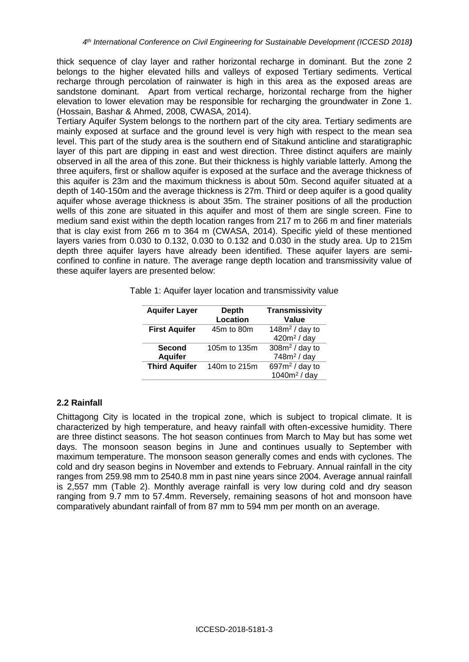thick sequence of clay layer and rather horizontal recharge in dominant. But the zone 2 belongs to the higher elevated hills and valleys of exposed Tertiary sediments. Vertical recharge through percolation of rainwater is high in this area as the exposed areas are sandstone dominant. Apart from vertical recharge, horizontal recharge from the higher elevation to lower elevation may be responsible for recharging the groundwater in Zone 1. (Hossain, Bashar & Ahmed, 2008, CWASA, 2014).

Tertiary Aquifer System belongs to the northern part of the city area. Tertiary sediments are mainly exposed at surface and the ground level is very high with respect to the mean sea level. This part of the study area is the southern end of Sitakund anticline and staratigraphic layer of this part are dipping in east and west direction. Three distinct aquifers are mainly observed in all the area of this zone. But their thickness is highly variable latterly. Among the three aquifers, first or shallow aquifer is exposed at the surface and the average thickness of this aquifer is 23m and the maximum thickness is about 50m. Second aquifer situated at a depth of 140-150m and the average thickness is 27m. Third or deep aquifer is a good quality aquifer whose average thickness is about 35m. The strainer positions of all the production wells of this zone are situated in this aquifer and most of them are single screen. Fine to medium sand exist within the depth location ranges from 217 m to 266 m and finer materials that is clay exist from 266 m to 364 m (CWASA, 2014). Specific yield of these mentioned layers varies from 0.030 to 0.132, 0.030 to 0.132 and 0.030 in the study area. Up to 215m depth three aquifer layers have already been identified. These aquifer layers are semiconfined to confine in nature. The average range depth location and transmissivity value of these aquifer layers are presented below:

| <b>Aquifer Layer</b>            | <b>Depth</b><br><b>Location</b> | <b>Transmissivity</b><br>Value       |
|---------------------------------|---------------------------------|--------------------------------------|
| <b>First Aquifer</b>            | 45m to 80m                      | 148 $m2$ / day to<br>$420m^2$ / day  |
| <b>Second</b><br><b>Aquifer</b> | 105m to 135m                    | $308m^2$ / day to<br>$748m2$ / day   |
| <b>Third Aquifer</b>            | 140m to 215m                    | 697 $m^2$ / day to<br>$1040m2$ / day |

Table 1: Aquifer layer location and transmissivity value

### **2.2 Rainfall**

Chittagong City is located in the tropical zone, which is subject to tropical climate. It is characterized by high temperature, and heavy rainfall with often-excessive humidity. There are three distinct seasons. The hot season continues from March to May but has some wet days. The monsoon season begins in June and continues usually to September with maximum temperature. The monsoon season generally comes and ends with cyclones. The cold and dry season begins in November and extends to February. Annual rainfall in the city ranges from 259.98 mm to 2540.8 mm in past nine years since 2004. Average annual rainfall is 2,557 mm (Table 2). Monthly average rainfall is very low during cold and dry season ranging from 9.7 mm to 57.4mm. Reversely, remaining seasons of hot and monsoon have comparatively abundant rainfall of from 87 mm to 594 mm per month on an average.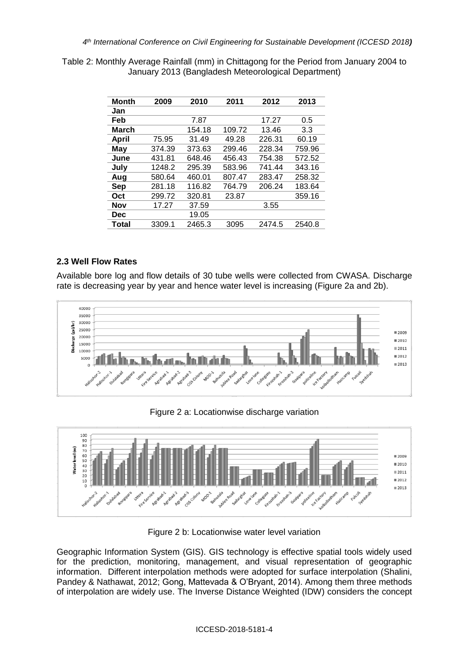Table 2: Monthly Average Rainfall (mm) in Chittagong for the Period from January 2004 to January 2013 (Bangladesh Meteorological Department)

| Month        | 2009   | 2010   | 2011   | 2012   | 2013   |
|--------------|--------|--------|--------|--------|--------|
| Jan          |        |        |        |        |        |
| Feb          |        | 7.87   |        | 17.27  | 0.5    |
| <b>March</b> |        | 154.18 | 109.72 | 13.46  | 3.3    |
| <b>April</b> | 75.95  | 31.49  | 49.28  | 226.31 | 60.19  |
| May          | 374.39 | 373.63 | 299.46 | 228.34 | 759.96 |
| June         | 431.81 | 648.46 | 456.43 | 754.38 | 572.52 |
| July         | 1248.2 | 295.39 | 583.96 | 741.44 | 343.16 |
| Aug          | 580.64 | 460.01 | 807.47 | 283.47 | 258.32 |
| Sep          | 281.18 | 116.82 | 764.79 | 206.24 | 183.64 |
| Oct          | 299.72 | 320.81 | 23.87  |        | 359.16 |
| Nov          | 17.27  | 37.59  |        | 3.55   |        |
| Dec          |        | 19.05  |        |        |        |
| Total        | 3309.1 | 2465.3 | 3095   | 2474.5 | 2540.8 |

### **2.3 Well Flow Rates**

Available bore log and flow details of 30 tube wells were collected from CWASA. Discharge rate is decreasing year by year and hence water level is increasing (Figure 2a and 2b).



Figure 2 a: Locationwise discharge variation



Figure 2 b: Locationwise water level variation

Geographic Information System (GIS). GIS technology is effective spatial tools widely used for the prediction, monitoring, management, and visual representation of geographic information. Different interpolation methods were adopted for surface interpolation (Shalini, Pandey & Nathawat, 2012; Gong, Mattevada & O'Bryant, 2014). Among them three methods of interpolation are widely use. The Inverse Distance Weighted (IDW) considers the concept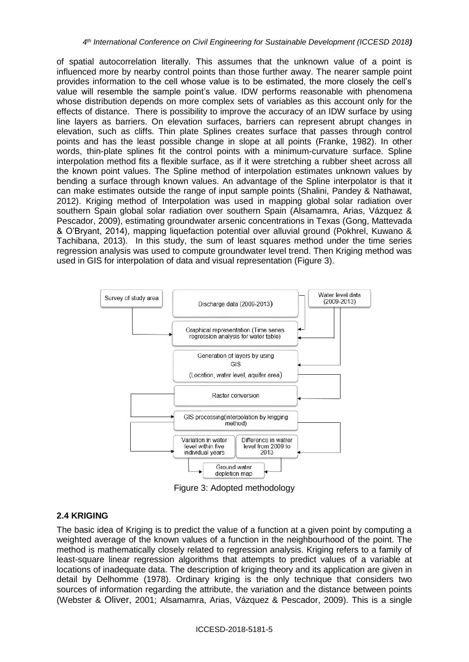of spatial autocorrelation literally. This assumes that the unknown value of a point is influenced more by nearby control points than those further away. The nearer sample point provides information to the cell whose value is to be estimated, the more closely the cell's value will resemble the sample point's value. IDW performs reasonable with phenomena whose distribution depends on more complex sets of variables as this account only for the effects of distance. There is possibility to improve the accuracy of an IDW surface by using line layers as barriers. On elevation surfaces, barriers can represent abrupt changes in elevation, such as cliffs. Thin plate Splines creates surface that passes through control points and has the least possible change in slope at all points (Franke, 1982). In other words, thin-plate splines fit the control points with a minimum-curvature surface. Spline interpolation method fits a flexible surface, as if it were stretching a rubber sheet across all the known point values. The Spline method of interpolation estimates unknown values by bending a surface through known values. An advantage of the Spline interpolator is that it can make estimates outside the range of input sample points (Shalini, Pandey & Nathawat, 2012). Kriging method of Interpolation was used in mapping global solar radiation over southern Spain global solar radiation over southern Spain (Alsamamra, Arias, Vázquez & Pescador, 2009), estimating groundwater arsenic concentrations in Texas (Gong, Mattevada & O'Bryant, 2014), mapping liquefaction potential over alluvial ground (Pokhrel, Kuwano & Tachibana, 2013). In this study, the sum of least squares method under the time series regression analysis was used to compute groundwater level trend. Then Kriging method was used in GIS for interpolation of data and visual representation (Figure 3).



Figure 3: Adopted methodology

### **2.4 KRIGING**

The basic idea of Kriging is to predict the value of a function at a given point by computing a weighted average of the known values of a function in the neighbourhood of the point. The method is mathematically closely related to regression analysis. Kriging refers to a family of least-square linear regression algorithms that attempts to predict values of a variable at locations of inadequate data. The description of kriging theory and its application are given in detail by Delhomme (1978). Ordinary kriging is the only technique that considers two sources of information regarding the attribute, the variation and the distance between points (Webster & Oliver, 2001; Alsamamra, Arias, Vázquez & Pescador, 2009). This is a single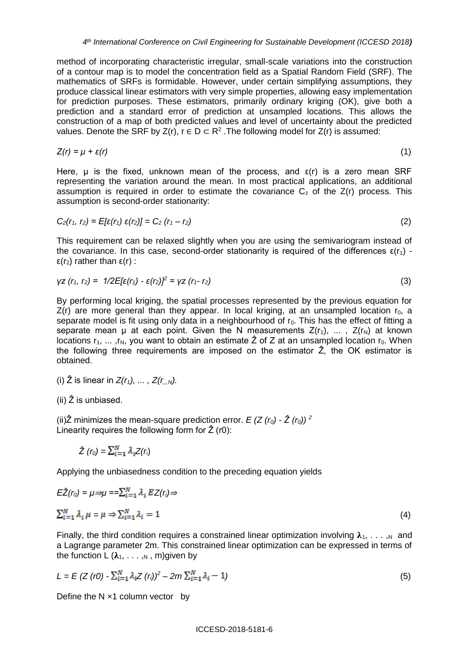method of incorporating characteristic irregular, small-scale variations into the construction of a contour map is to model the concentration field as a Spatial Random Field (SRF). The mathematics of SRFs is formidable. However, under certain simplifying assumptions, they produce classical linear estimators with very simple properties, allowing easy implementation for prediction purposes. These estimators, primarily ordinary kriging (OK), give both a prediction and a standard error of prediction at unsampled locations. This allows the construction of a map of both predicted values and level of uncertainty about the predicted values. Denote the SRF by  $Z(r)$ ,  $r \in D \subset R^2$ . The following model for  $Z(r)$  is assumed:

$$
Z(r) = \mu + \varepsilon(r) \tag{1}
$$

Here,  $\mu$  is the fixed, unknown mean of the process, and  $\epsilon(r)$  is a zero mean SRF representing the variation around the mean. In most practical applications, an additional assumption is required in order to estimate the covariance  $C<sub>z</sub>$  of the  $Z(r)$  process. This assumption is second-order stationarity:

$$
C_2(r_1, r_2) = E[\varepsilon(r_1) \; \varepsilon(r_2)] = C_2 \; (r_1 - r_2) \tag{2}
$$

This requirement can be relaxed slightly when you are using the semivariogram instead of the covariance. In this case, second-order stationarity is required of the differences  $\epsilon(r_1)$  ε(r2) rather than ε(r) :

$$
\gamma z \ (r_1, r_2) = \ 1/2E[\epsilon(r_1) - \epsilon(r_2)]^2 = \gamma z \ (r_1 - r_2) \tag{3}
$$

By performing local kriging, the spatial processes represented by the previous equation for  $Z(r)$  are more general than they appear. In local kriging, at an unsampled location  $r_0$ , a separate model is fit using only data in a neighbourhood of  $r_0$ . This has the effect of fitting a separate mean  $\mu$  at each point. Given the N measurements  $Z(r_1)$ , ...,  $Z(r_N)$  at known locations  $r_1, \ldots, r_N$ , you want to obtain an estimate  $\hat{Z}$  of Z at an unsampled location  $r_0$ . When the following three requirements are imposed on the estimator  $\hat{Z}$ , the OK estimator is obtained.

(i)  $\hat{Z}$  is linear in  $Z(r_1), \ldots, Z(r_N)$ .

(ii)  $\hat{Z}$  is unbiased.

(ii) $\hat{Z}$  minimizes the mean-square prediction error.  $E(Z(r_0) - \hat{Z}(r_0))^2$ Linearity requires the following form for  $\hat{Z}$  (r0):

$$
\hat{Z}(r_0) = \sum_{i=1}^N \lambda_i Z(r_i)
$$

Applying the unbiasedness condition to the preceding equation yields

$$
E\hat{Z}(r_0) = \mu \Rightarrow \mu = \sum_{i=1}^{N} \lambda_i EZ(r_i) \Rightarrow
$$
  

$$
\sum_{i=1}^{N} \lambda_i \mu = \mu \Rightarrow \sum_{i=1}^{N} \lambda_i = 1
$$
 (4)

Finally, the third condition requires a constrained linear optimization involving  $\lambda_1, \ldots, \lambda_n$  and a Lagrange parameter 2m. This constrained linear optimization can be expressed in terms of the function  $L(\lambda_1, \ldots, N, m)$  given by

$$
L = E (Z (r0) - \sum_{i=1}^{N} \lambda_i Z (r_i))^2 - 2m \sum_{i=1}^{N} \lambda_i - 1)
$$
\n(5)

Define the  $N \times 1$  column vector by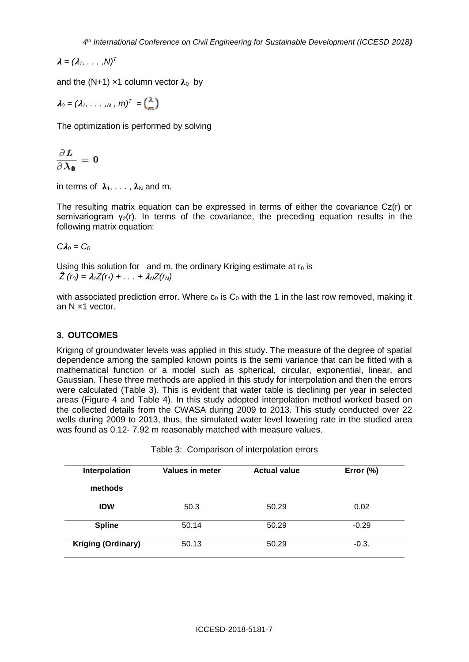$\lambda = (\lambda_1, \ldots, \lambda)^T$ 

and the (N+1)  $\times$ 1 column vector  $\lambda_0$  by

 $\lambda_0 = (\lambda_1, \ldots, \lambda_n, m)^T =$ 

The optimization is performed by solving

$$
\frac{\partial L}{\partial \lambda_0}=0
$$

in terms of  $\lambda_1, \ldots, \lambda_N$  and m.

The resulting matrix equation can be expressed in terms of either the covariance Cz(r) or semivariogram  $y_2(r)$ . In terms of the covariance, the preceding equation results in the following matrix equation:

 $CA<sub>0</sub> = C<sub>0</sub>$ 

Using this solution for and m, the ordinary Kriging estimate at  $r_0$  is  $\hat{Z}(r_0) = \lambda_1 Z(r_1) + \ldots + \lambda_N Z(r_N)$ 

with associated prediction error. Where  $c_0$  is  $C_0$  with the 1 in the last row removed, making it an N ×1 vector.

## **3. OUTCOMES**

Kriging of groundwater levels was applied in this study. The measure of the degree of spatial dependence among the sampled known points is the semi variance that can be fitted with a mathematical function or a model such as spherical, circular, exponential, linear, and Gaussian. These three methods are applied in this study for interpolation and then the errors were calculated (Table 3). This is evident that water table is declining per year in selected areas (Figure 4 and Table 4). In this study adopted interpolation method worked based on the collected details from the CWASA during 2009 to 2013. This study conducted over 22 wells during 2009 to 2013, thus, the simulated water level lowering rate in the studied area was found as 0.12- 7.92 m reasonably matched with measure values.

| Table 3: Comparison of interpolation errors |                        |                     |              |  |  |
|---------------------------------------------|------------------------|---------------------|--------------|--|--|
| Interpolation                               | <b>Values in meter</b> | <b>Actual value</b> | Error $(\%)$ |  |  |
| methods                                     |                        |                     |              |  |  |
| <b>IDW</b>                                  | 50.3                   | 50.29               | 0.02         |  |  |
| <b>Spline</b>                               | 50.14                  | 50.29               | $-0.29$      |  |  |
| <b>Kriging (Ordinary)</b>                   | 50.13                  | 50.29               | $-0.3.$      |  |  |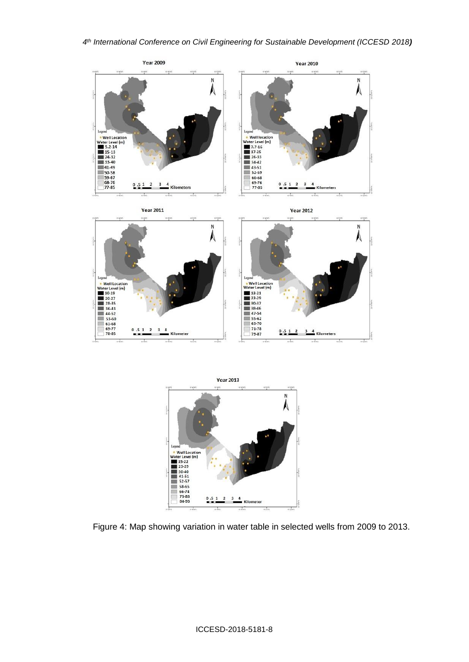



Figure 4: Map showing variation in water table in selected wells from 2009 to 2013.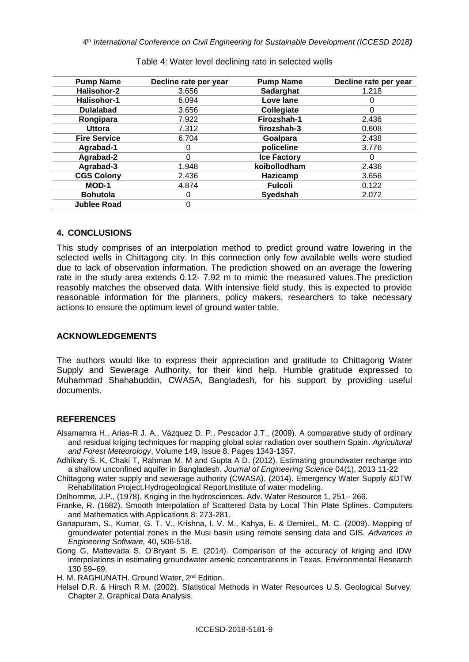| <b>Pump Name</b>    | Decline rate per year | <b>Pump Name</b>   | Decline rate per year |
|---------------------|-----------------------|--------------------|-----------------------|
| Halisohor-2         | 3.656                 | <b>Sadarghat</b>   | 1.218                 |
| Halisohor-1         | 6.094                 | Love lane          | Ω                     |
| <b>Dulalabad</b>    | 3.656                 | Collegiate         | 0                     |
| Rongipara           | 7.922                 | Firozshah-1        | 2.436                 |
| <b>Uttora</b>       | 7.312                 | firozshah-3        | 0.608                 |
| <b>Fire Service</b> | 6.704                 | Goalpara           | 2.438                 |
| Agrabad-1           | 0                     | policeline         | 3.776                 |
| Agrabad-2           | 0                     | <b>Ice Factory</b> | 0                     |
| Agrabad-3           | 1.948                 | koibollodham       | 2.436                 |
| <b>CGS Colony</b>   | 2.436                 | Hazicamp           | 3.656                 |
| MOD-1               | 4.874                 | <b>Fulcoli</b>     | 0.122                 |
| <b>Bohutola</b>     | O                     | Syedshah           | 2.072                 |
| <b>Jublee Road</b>  | 0                     |                    |                       |

Table 4: Water level declining rate in selected wells

#### **4. CONCLUSIONS**

This study comprises of an interpolation method to predict ground watre lowering in the selected wells in Chittagong city. In this connection only few available wells were studied due to lack of observation information. The prediction showed on an average the lowering rate in the study area extends 0.12- 7.92 m to mimic the measured values.The prediction reasobly matches the observed data. With intensive field study, this is expected to provide reasonable information for the planners, policy makers, researchers to take necessary actions to ensure the optimum level of ground water table.

#### **ACKNOWLEDGEMENTS**

The authors would like to express their appreciation and gratitude to Chittagong Water Supply and Sewerage Authority, for their kind help. Humble gratitude expressed to Muhammad Shahabuddin, CWASA, Bangladesh, for his support by providing useful documents.

#### **REFERENCES**

- Alsamamra H., Arias-R J. A., Vázquez D. P., Pescador J.T., (2009). A comparative study of ordinary and residual kriging techniques for mapping global solar radiation over southern Spain. *Agricultural and Forest Meteorology*, Volume 149, Issue 8, Pages 1343-1357.
- Adhikary S. K, Chaki T, Rahman M. M and Gupta A D. (2012). Estimating groundwater recharge into a shallow unconfined aquifer in Bangladesh. *Journal of Engineering Science* 04(1), 2013 11-22
- Chittagong water supply and sewerage authority (CWASA), (2014). Emergency Water Supply &DTW Rehabilitation Project.Hydrogeological Report.Institute of water modeling.

Delhomme, J.P., (1978). Kriging in the hydrosciences. Adv. Water Resource 1, 251– 266.

- Franke, R. (1982). Smooth Interpolation of Scattered Data by Local Thin Plate Splines. Computers and Mathematics with Applications 8: 273-281.
- Ganapuram, S., Kumar, G. T. V., Krishna, I. V. M., Kahya, E. & DemireL, M. C. (2009). Mapping of groundwater potential zones in the Musi basin using remote sensing data and GIS. *Advances in Engineering Software,* 40**,** 506-518.
- Gong G, Mattevada S, O'Bryant S. E. (2014). Comparison of the accuracy of kriging and IDW interpolations in estimating groundwater arsenic concentrations in Texas. Environmental Research 130 59–69.

H. M. RAGHUNATH. Ground Water, 2<sup>nd</sup> Edition.

Helsel D.R. & Hirsch R.M. (2002). Statistical Methods in Water Resources U.S. Geological Survey. Chapter 2. Graphical Data Analysis.